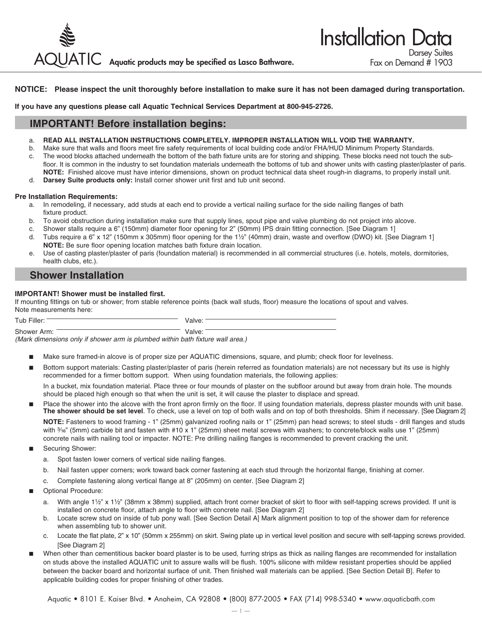

### **NOTICE: Please inspect the unit thoroughly before installation to make sure it has not been damaged during transportation.**

**If you have any questions please call Aquatic Technical Services Department at 800-945-2726.**

## **IMPORTANT! Before installation begins:**

- a. **READ ALL INSTALLATION INSTRUCTIONS COMPLETELY. IMPROPER INSTALLATION WILL VOID THE WARRANTY.**
- b. Make sure that walls and floors meet fire safety requirements of local building code and/or FHA/HUD Minimum Property Standards. c. The wood blocks attached underneath the bottom of the bath fixture units are for storing and shipping. These blocks need not touch the subfloor. It is common in the industry to set foundation materials underneath the bottoms of tub and shower units with casting plaster/plaster of paris. **NOTE:** Finished alcove must have interior dimensions, shown on product technical data sheet rough-in diagrams, to properly install unit.
- d. **Darsey Suite products only:** Install corner shower unit first and tub unit second.

#### **Pre Installation Requirements:**

- a. In remodeling, if necessary, add studs at each end to provide a vertical nailing surface for the side nailing flanges of bath fixture product.
- b. To avoid obstruction during installation make sure that supply lines, spout pipe and valve plumbing do not project into alcove.
- c. Shower stalls require a 6" (150mm) diameter floor opening for 2" (50mm) IPS drain fitting connection. [See Diagram 1]
- d. Tubs require a 6" x 12" (150mm x 305mm) floor opening for the 1½" (40mm) drain, waste and overflow (DWO) kit. [See Diagram 1]  **NOTE:** Be sure floor opening location matches bath fixture drain location.
- e. Use of casting plaster/plaster of paris (foundation material) is recommended in all commercial structures (i.e. hotels, motels, dormitories, health clubs, etc.).

### **Shower Installation**

### **IMPORTANT! Shower must be installed first.**

If mounting fittings on tub or shower; from stable reference points (back wall studs, floor) measure the locations of spout and valves. Note measurements here:

| Tub Filler:                                                                    | Valve: |
|--------------------------------------------------------------------------------|--------|
| Shower Arm:                                                                    | Valve: |
| (Mark dimensions only if shower arm is plumbed within bath fixture wall area.) |        |

- Make sure framed-in alcove is of proper size per AQUATIC dimensions, square, and plumb; check floor for levelness.
- Bottom support materials: Casting plaster/plaster of paris (herein referred as foundation materials) are not necessary but its use is highly recommended for a firmer bottom support. When using foundation materials, the following applies:

 In a bucket, mix foundation material. Place three or four mounds of plaster on the subfloor around but away from drain hole. The mounds should be placed high enough so that when the unit is set, it will cause the plaster to displace and spread.

Place the shower into the alcove with the front apron firmly on the floor. If using foundation materials, depress plaster mounds with unit base. **The shower should be set level**. To check, use a level on top of both walls and on top of both thresholds. Shim if necessary. [See Diagram 2]

 **NOTE:** Fasteners to wood framing - 1" (25mm) galvanized roofing nails or 1" (25mm) pan head screws; to steel studs - drill flanges and studs with 3<sup>1</sup>%" (5mm) carbide bit and fasten with #10 x 1" (25mm) sheet metal screws with washers; to concrete/block walls use 1" (25mm) concrete nails with nailing tool or impacter. NOTE: Pre drilling nailing flanges is recommended to prevent cracking the unit.

- Securing Shower:
	- a. Spot fasten lower corners of vertical side nailing flanges.
	- b. Nail fasten upper corners; work toward back corner fastening at each stud through the horizontal flange, finishing at corner.
	- c. Complete fastening along vertical flange at 8" (205mm) on center. [See Diagram 2]
- Optional Procedure:
	- a. With angle 1½" x 1½" (38mm x 38mm) supplied, attach front corner bracket of skirt to floor with self-tapping screws provided. If unit is installed on concrete floor, attach angle to floor with concrete nail. [See Diagram 2]
	- b. Locate screw stud on inside of tub pony wall. [See Section Detail A] Mark alignment position to top of the shower dam for reference when assembling tub to shower unit.
	- c. Locate the flat plate, 2" x 10" (50mm x 255mm) on skirt. Swing plate up in vertical level position and secure with self-tapping screws provided. [See Diagram 2]
- When other than cementitious backer board plaster is to be used, furring strips as thick as nailing flanges are recommended for installation on studs above the installed AQUATIC unit to assure walls will be flush. 100% silicone with mildew resistant properties should be applied between the backer board and horizontal surface of unit. Then finished wall materials can be applied. [See Section Detail B]. Refer to applicable building codes for proper finishing of other trades.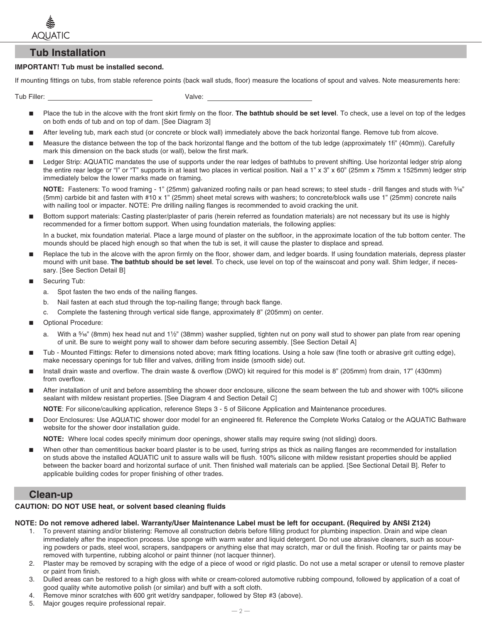

### **Tub Installation**

### **IMPORTANT! Tub must be installed second.**

If mounting fittings on tubs, from stable reference points (back wall studs, floor) measure the locations of spout and valves. Note measurements here:

Tub Filler: Valve:

- Place the tub in the alcove with the front skirt firmly on the floor. **The bathtub should be set level**. To check, use a level on top of the ledges on both ends of tub and on top of dam. [See Diagram 3]
- After leveling tub, mark each stud (or concrete or block wall) immediately above the back horizontal flange. Remove tub from alcove.
- Measure the distance between the top of the back horizontal flange and the bottom of the tub ledge (approximately 1fi" (40mm)). Carefully mark this dimension on the back studs (or wall), below the first mark.
- Ledger Strip: AQUATIC mandates the use of supports under the rear ledges of bathtubs to prevent shifting. Use horizontal ledger strip along the entire rear ledge or "I" or "T" supports in at least two places in vertical position. Nail a 1" x 3" x 60" (25mm x 75mm x 1525mm) ledger strip immediately below the lower marks made on framing.

**NOTE:** Fasteners: To wood framing - 1" (25mm) galvanized roofing nails or pan head screws; to steel studs - drill flanges and studs with  $\frac{9}{6}$ " (5mm) carbide bit and fasten with #10 x 1" (25mm) sheet metal screws with washers; to concrete/block walls use 1" (25mm) concrete nails with nailing tool or impacter. NOTE: Pre drilling nailing flanges is recommended to avoid cracking the unit.

Bottom support materials: Casting plaster/plaster of paris (herein referred as foundation materials) are not necessary but its use is highly recommended for a firmer bottom support. When using foundation materials, the following applies:

 In a bucket, mix foundation material. Place a large mound of plaster on the subfloor, in the approximate location of the tub bottom center. The mounds should be placed high enough so that when the tub is set, it will cause the plaster to displace and spread.

- Replace the tub in the alcove with the apron firmly on the floor, shower dam, and ledger boards. If using foundation materials, depress plaster mound with unit base. **The bathtub should be set level**. To check, use level on top of the wainscoat and pony wall. Shim ledger, if necessary. [See Section Detail B]
- Securing Tub:
	- a. Spot fasten the two ends of the nailing flanges.
	- b. Nail fasten at each stud through the top-nailing flange; through back flange.
	- c. Complete the fastening through vertical side flange, approximately 8" (205mm) on center.
- Optional Procedure:
	- With a  $\frac{5}{6}$ " (8mm) hex head nut and 1½" (38mm) washer supplied, tighten nut on pony wall stud to shower pan plate from rear opening of unit. Be sure to weight pony wall to shower dam before securing assembly. [See Section Detail A]
- Tub Mounted Fittings: Refer to dimensions noted above; mark fitting locations. Using a hole saw (fine tooth or abrasive grit cutting edge), make necessary openings for tub filler and valves, drilling from inside (smooth side) out.
- Install drain waste and overflow. The drain waste & overflow (DWO) kit required for this model is 8" (205mm) from drain, 17" (430mm) from overflow.
- After installation of unit and before assembling the shower door enclosure, silicone the seam between the tub and shower with 100% silicone sealant with mildew resistant properties. [See Diagram 4 and Section Detail C]

**NOTE**: For silicone/caulking application, reference Steps 3 - 5 of Silicone Application and Maintenance procedures.

■ Door Enclosures: Use AQUATIC shower door model for an engineered fit. Reference the Complete Works Catalog or the AQUATIC Bathware website for the shower door installation guide.

**NOTE:** Where local codes specify minimum door openings, shower stalls may require swing (not sliding) doors.

When other than cementitious backer board plaster is to be used, furring strips as thick as nailing flanges are recommended for installation on studs above the installed AQUATIC unit to assure walls will be flush. 100% silicone with mildew resistant properties should be applied between the backer board and horizontal surface of unit. Then finished wall materials can be applied. [See Sectional Detail B]. Refer to applicable building codes for proper finishing of other trades.

### **Clean-up**

### **CAUTION: DO NOT USE heat, or solvent based cleaning fluids**

### **NOTE: Do not remove adhered label. Warranty/User Maintenance Label must be left for occupant. (Required by ANSI Z124)**

- 1. To prevent staining and/or blistering: Remove all construction debris before filling product for plumbing inspection. Drain and wipe clean immediately after the inspection process. Use sponge with warm water and liquid detergent. Do not use abrasive cleaners, such as scouring powders or pads, steel wool, scrapers, sandpapers or anything else that may scratch, mar or dull the finish. Roofing tar or paints may be removed with turpentine, rubbing alcohol or paint thinner (not lacquer thinner).
- 2. Plaster may be removed by scraping with the edge of a piece of wood or rigid plastic. Do not use a metal scraper or utensil to remove plaster or paint from finish.
- 3. Dulled areas can be restored to a high gloss with white or cream-colored automotive rubbing compound, followed by application of a coat of good quality white automotive polish (or similar) and buff with a soft cloth.
- 4. Remove minor scratches with 600 grit wet/dry sandpaper, followed by Step #3 (above).
- 5. Major gouges require professional repair.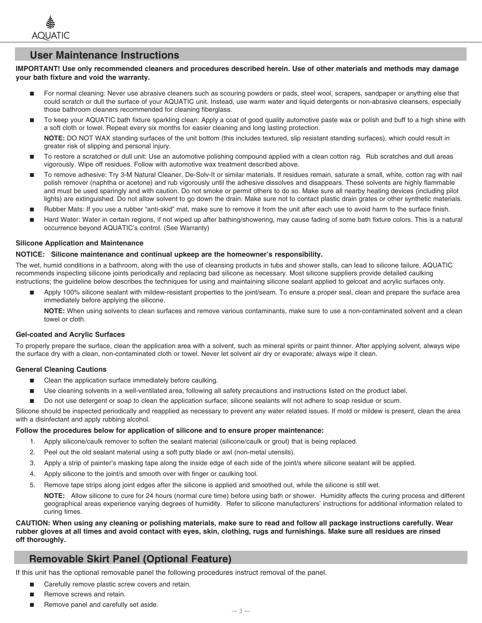

## **User Maintenance Instructions**

### **IMPORTANT! Use only recommended cleaners and procedures described herein. Use of other materials and methods may damage your bath fixture and void the warranty.**

- For normal cleaning: Never use abrasive cleaners such as scouring powders or pads, steel wool, scrapers, sandpaper or anything else that could scratch or dull the surface of your AQUATIC unit. Instead, use warm water and liquid detergents or non-abrasive cleansers, especially those bathroom cleaners recommended for cleaning fiberglass.
- To keep your AQUATIC bath fixture sparkling clean: Apply a coat of good quality automotive paste wax or polish and buff to a high shine with a soft cloth or towel. Repeat every six months for easier cleaning and long lasting protection. **NOTE:** DO NOT WAX standing surfaces of the unit bottom (this includes textured, slip resistant standing surfaces), which could result in greater risk of slipping and personal injury.
- To restore a scratched or dull unit: Use an automotive polishing compound applied with a clean cotton rag. Rub scratches and dull areas vigorously. Wipe off residues. Follow with automotive wax treatment described above.
- To remove adhesive: Try 3-M Natural Cleaner, De-Solv-It or similar materials. If residues remain, saturate a small, white, cotton rag with nail polish remover (naphtha or acetone) and rub vigorously until the adhesive dissolves and disappears. These solvents are highly flammable and must be used sparingly and with caution. Do not smoke or permit others to do so. Make sure all nearby heating devices (including pilot lights) are extinguished. Do not allow solvent to go down the drain. Make sure not to contact plastic drain grates or other synthetic materials.
- Rubber Mats: If you use a rubber "anti-skid" mat, make sure to remove it from the unit after each use to avoid harm to the surface finish.
- Hard Water: Water in certain regions, if not wiped up after bathing/showering, may cause fading of some bath fixture colors. This is a natural occurrence beyond AQUATIC's control. (See Warranty)

### **Silicone Application and Maintenance**

#### **NOTICE: Silicone maintenance and continual upkeep are the homeowner's responsibility.**

The wet, humid conditions in a bathroom, along with the use of cleansing products in tubs and shower stalls, can lead to silicone failure. AQUATIC recommends inspecting silicone joints periodically and replacing bad silicone as necessary. Most silicone suppliers provide detailed caulking instructions; the guideline below describes the techniques for using and maintaining silicone sealant applied to gelcoat and acrylic surfaces only.

Apply 100% silicone sealant with mildew-resistant properties to the joint/seam. To ensure a proper seal, clean and prepare the surface area immediately before applying the silicone.

 **NOTE:** When using solvents to clean surfaces and remove various contaminants, make sure to use a non-contaminated solvent and a clean towel or cloth.

### **Gel-coated and Acrylic Surfaces**

To properly prepare the surface, clean the application area with a solvent, such as mineral spirits or paint thinner. After applying solvent, always wipe the surface dry with a clean, non-contaminated cloth or towel. Never let solvent air dry or evaporate; always wipe it clean.

### **General Cleaning Cautions**

- Clean the application surface immediately before caulking.
- Use cleaning solvents in a well-ventilated area, following all safety precautions and instructions listed on the product label.
- Do not use detergent or soap to clean the application surface; silicone sealants will not adhere to soap residue or scum.

Silicone should be inspected periodically and reapplied as necessary to prevent any water related issues. If mold or mildew is present, clean the area with a disinfectant and apply rubbing alcohol.

#### **Follow the procedures below for application of silicone and to ensure proper maintenance:**

- 1. Apply silicone/caulk remover to soften the sealant material (silicone/caulk or grout) that is being replaced.
- 2. Peel out the old sealant material using a soft putty blade or awl (non-metal utensils).
- 3. Apply a strip of painter's masking tape along the inside edge of each side of the joint/s where silicone sealant will be applied.
- 4. Apply silicone to the joint/s and smooth over with finger or caulking tool.
- 5. Remove tape strips along joint edges after the silicone is applied and smoothed out, while the silicone is still wet.

 **NOTE:** Allow silicone to cure for 24 hours (normal cure time) before using bath or shower. Humidity affects the curing process and different geographical areas experience varying degrees of humidity. Refer to silicone manufacturers' instructions for additional information related to curing times.

**CAUTION: When using any cleaning or polishing materials, make sure to read and follow all package instructions carefully. Wear rubber gloves at all times and avoid contact with eyes, skin, clothing, rugs and furnishings. Make sure all residues are rinsed off thoroughly.**

## **Removable Skirt Panel (Optional Feature)**

If this unit has the optional removable panel the following procedures instruct removal of the panel.

- Carefully remove plastic screw covers and retain.
- Remove screws and retain.
- Remove panel and carefully set aside.